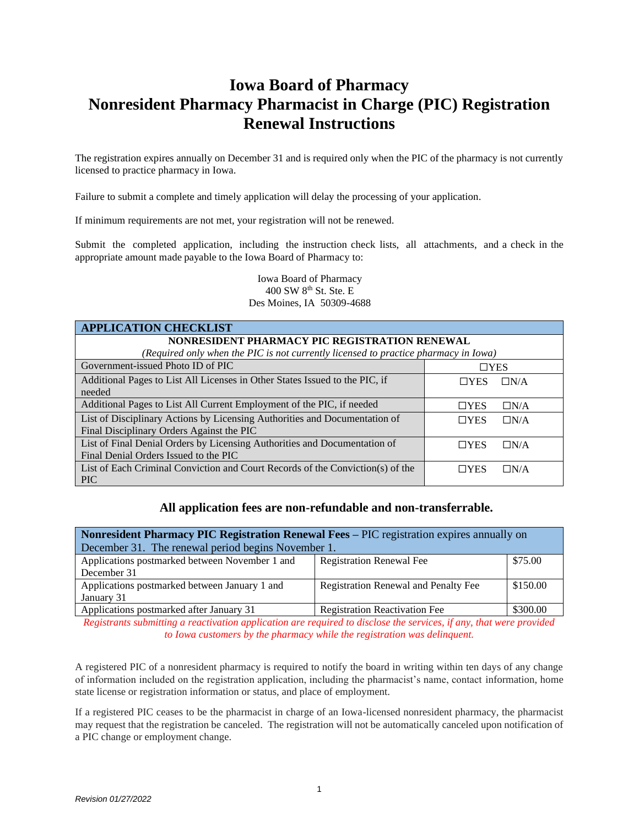## **Iowa Board of Pharmacy Nonresident Pharmacy Pharmacist in Charge (PIC) Registration Renewal Instructions**

The registration expires annually on December 31 and is required only when the PIC of the pharmacy is not currently licensed to practice pharmacy in Iowa.

Failure to submit a complete and timely application will delay the processing of your application.

If minimum requirements are not met, your registration will not be renewed.

Submit the completed application, including the instruction check lists, all attachments, and a check in the appropriate amount made payable to the Iowa Board of Pharmacy to:

> Iowa Board of Pharmacy 400 SW 8th St. Ste. E Des Moines, IA 50309-4688

| <b>APPLICATION CHECKLIST</b>                                                        |                             |  |  |  |  |
|-------------------------------------------------------------------------------------|-----------------------------|--|--|--|--|
| NONRESIDENT PHARMACY PIC REGISTRATION RENEWAL                                       |                             |  |  |  |  |
| (Required only when the PIC is not currently licensed to practice pharmacy in Iowa) |                             |  |  |  |  |
| Government-issued Photo ID of PIC                                                   | $\Box$ YES                  |  |  |  |  |
| Additional Pages to List All Licenses in Other States Issued to the PIC, if         | $\Box N/A$<br>$\Box$ YES    |  |  |  |  |
| needed                                                                              |                             |  |  |  |  |
| Additional Pages to List All Current Employment of the PIC, if needed               | $\square$ YES<br>$\Box N/A$ |  |  |  |  |
| List of Disciplinary Actions by Licensing Authorities and Documentation of          | $\Box$ YES<br>$\Box N/A$    |  |  |  |  |
| Final Disciplinary Orders Against the PIC                                           |                             |  |  |  |  |
| List of Final Denial Orders by Licensing Authorities and Documentation of           | $\Box$ YES<br>$\Box N/A$    |  |  |  |  |
| Final Denial Orders Issued to the PIC                                               |                             |  |  |  |  |
| List of Each Criminal Conviction and Court Records of the Conviction(s) of the      | $\Box N/A$<br>⊓YES          |  |  |  |  |
| <b>PIC</b>                                                                          |                             |  |  |  |  |

### **All application fees are non-refundable and non-transferrable.**

| <b>Nonresident Pharmacy PIC Registration Renewal Fees – PIC registration expires annually on</b> |                                      |          |  |  |
|--------------------------------------------------------------------------------------------------|--------------------------------------|----------|--|--|
| December 31. The renewal period begins November 1.                                               |                                      |          |  |  |
| Applications postmarked between November 1 and<br>December 31                                    | <b>Registration Renewal Fee</b>      | \$75.00  |  |  |
| Applications postmarked between January 1 and<br>January 31                                      | Registration Renewal and Penalty Fee | \$150.00 |  |  |
| Applications postmarked after January 31                                                         | <b>Registration Reactivation Fee</b> | \$300.00 |  |  |

*Registrants submitting a reactivation application are required to disclose the services, if any, that were provided to Iowa customers by the pharmacy while the registration was delinquent.*

A registered PIC of a nonresident pharmacy is required to notify the board in writing within ten days of any change of information included on the registration application, including the pharmacist's name, contact information, home state license or registration information or status, and place of employment.

If a registered PIC ceases to be the pharmacist in charge of an Iowa-licensed nonresident pharmacy, the pharmacist may request that the registration be canceled. The registration will not be automatically canceled upon notification of a PIC change or employment change.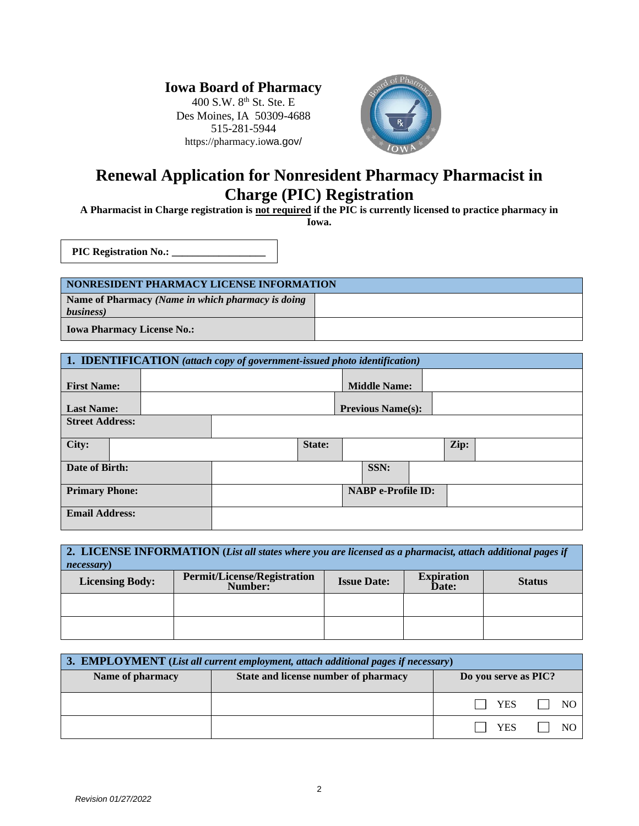### **Iowa Board of Pharmacy**

400 S.W. 8th St. Ste. E Des Moines, IA 50309-4688 515-281-5944 https://pharmacy.iowa.gov/



# **Renewal Application for Nonresident Pharmacy Pharmacist in Charge (PIC) Registration**

**A Pharmacist in Charge registration is not required if the PIC is currently licensed to practice pharmacy in Iowa.**

**PIC Registration No.: \_\_\_\_\_\_\_\_\_\_\_\_\_\_\_\_\_\_**

| NONRESIDENT PHARMACY LICENSE INFORMATION                       |  |  |
|----------------------------------------------------------------|--|--|
| Name of Pharmacy (Name in which pharmacy is doing<br>business) |  |  |
| <b>Iowa Pharmacy License No.:</b>                              |  |  |

| 1. IDENTIFICATION (attach copy of government-issued photo identification) |  |  |        |  |                           |      |  |
|---------------------------------------------------------------------------|--|--|--------|--|---------------------------|------|--|
| <b>First Name:</b>                                                        |  |  |        |  | <b>Middle Name:</b>       |      |  |
| <b>Last Name:</b>                                                         |  |  |        |  | <b>Previous Name(s):</b>  |      |  |
| <b>Street Address:</b>                                                    |  |  |        |  |                           |      |  |
| City:                                                                     |  |  | State: |  |                           | Zip: |  |
| Date of Birth:                                                            |  |  |        |  | SSN:                      |      |  |
| <b>Primary Phone:</b>                                                     |  |  |        |  | <b>NABP</b> e-Profile ID: |      |  |
| <b>Email Address:</b>                                                     |  |  |        |  |                           |      |  |

| 2. LICENSE INFORMATION (List all states where you are licensed as a pharmacist, attach additional pages if<br><i>necessary</i> ) |                                               |                    |                            |               |
|----------------------------------------------------------------------------------------------------------------------------------|-----------------------------------------------|--------------------|----------------------------|---------------|
| <b>Licensing Body:</b>                                                                                                           | <b>Permit/License/Registration</b><br>Number: | <b>Issue Date:</b> | <b>Expiration</b><br>Date: | <b>Status</b> |
|                                                                                                                                  |                                               |                    |                            |               |
|                                                                                                                                  |                                               |                    |                            |               |

| 3. EMPLOYMENT (List all current employment, attach additional pages if necessary) |                                      |                      |  |  |
|-----------------------------------------------------------------------------------|--------------------------------------|----------------------|--|--|
| Name of pharmacy                                                                  | State and license number of pharmacy | Do you serve as PIC? |  |  |
|                                                                                   |                                      | <b>YES</b><br>NO.    |  |  |
|                                                                                   |                                      | <b>YES</b>           |  |  |